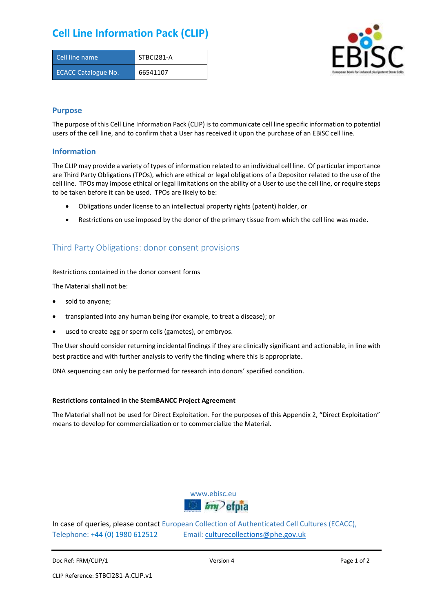# **Cell Line Information Pack (CLIP)**

| Cell line name             | STBCi281-A |
|----------------------------|------------|
| <b>ECACC Catalogue No.</b> | 66541107   |



## **Purpose**

The purpose of this Cell Line Information Pack (CLIP) is to communicate cell line specific information to potential users of the cell line, and to confirm that a User has received it upon the purchase of an EBiSC cell line.

### **Information**

The CLIP may provide a variety of types of information related to an individual cell line. Of particular importance are Third Party Obligations (TPOs), which are ethical or legal obligations of a Depositor related to the use of the cell line. TPOs may impose ethical or legal limitations on the ability of a User to use the cell line, or require steps to be taken before it can be used. TPOs are likely to be:

- Obligations under license to an intellectual property rights (patent) holder, or
- Restrictions on use imposed by the donor of the primary tissue from which the cell line was made.

# Third Party Obligations: donor consent provisions

#### Restrictions contained in the donor consent forms

The Material shall not be:

- sold to anyone;
- transplanted into any human being (for example, to treat a disease); or
- used to create egg or sperm cells (gametes), or embryos.

The User should consider returning incidental findings if they are clinically significant and actionable, in line with best practice and with further analysis to verify the finding where this is appropriate.

DNA sequencing can only be performed for research into donors' specified condition.

#### **Restrictions contained in the StemBANCC Project Agreement**

The Material shall not be used for Direct Exploitation. For the purposes of this Appendix 2, "Direct Exploitation" means to develop for commercialization or to commercialize the Material.



In case of queries, please contact European Collection of Authenticated Cell Cultures (ECACC), Telephone: +44 (0) 1980 612512 Email: [culturecollections@phe.gov.uk](mailto:culturecollections@phe.gov.uk)